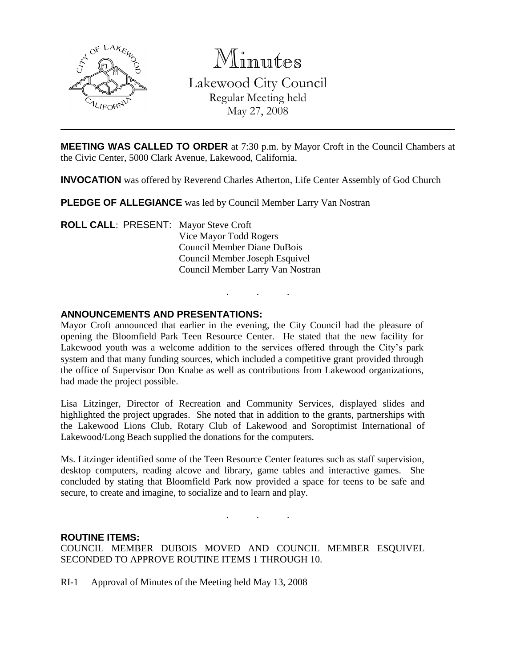

Minutes

Lakewood City Council Regular Meeting held May 27, 2008

**MEETING WAS CALLED TO ORDER** at 7:30 p.m. by Mayor Croft in the Council Chambers at the Civic Center, 5000 Clark Avenue, Lakewood, California.

**INVOCATION** was offered by Reverend Charles Atherton, Life Center Assembly of God Church

**PLEDGE OF ALLEGIANCE** was led by Council Member Larry Van Nostran

**ROLL CALL**: PRESENT: Mayor Steve Croft Vice Mayor Todd Rogers Council Member Diane DuBois Council Member Joseph Esquivel Council Member Larry Van Nostran

# **ANNOUNCEMENTS AND PRESENTATIONS:**

Mayor Croft announced that earlier in the evening, the City Council had the pleasure of opening the Bloomfield Park Teen Resource Center. He stated that the new facility for Lakewood youth was a welcome addition to the services offered through the City's park system and that many funding sources, which included a competitive grant provided through the office of Supervisor Don Knabe as well as contributions from Lakewood organizations, had made the project possible.

. . .

Lisa Litzinger, Director of Recreation and Community Services, displayed slides and highlighted the project upgrades. She noted that in addition to the grants, partnerships with the Lakewood Lions Club, Rotary Club of Lakewood and Soroptimist International of Lakewood/Long Beach supplied the donations for the computers.

Ms. Litzinger identified some of the Teen Resource Center features such as staff supervision, desktop computers, reading alcove and library, game tables and interactive games. She concluded by stating that Bloomfield Park now provided a space for teens to be safe and secure, to create and imagine, to socialize and to learn and play.

. . .

## **ROUTINE ITEMS:**

COUNCIL MEMBER DUBOIS MOVED AND COUNCIL MEMBER ESQUIVEL SECONDED TO APPROVE ROUTINE ITEMS 1 THROUGH 10.

RI-1 Approval of Minutes of the Meeting held May 13, 2008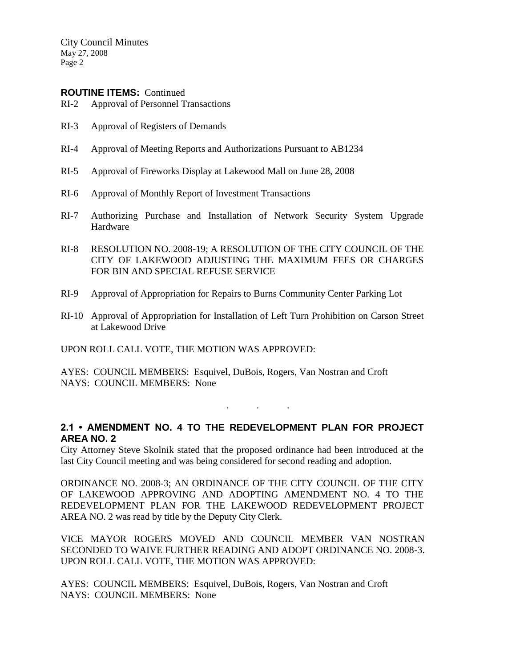City Council Minutes May 27, 2008 Page 2

## **ROUTINE ITEMS:** Continued

- RI-2 Approval of Personnel Transactions
- RI-3 Approval of Registers of Demands
- RI-4 Approval of Meeting Reports and Authorizations Pursuant to AB1234
- RI-5 Approval of Fireworks Display at Lakewood Mall on June 28, 2008
- RI-6 Approval of Monthly Report of Investment Transactions
- RI-7 Authorizing Purchase and Installation of Network Security System Upgrade Hardware
- RI-8 RESOLUTION NO. 2008-19; A RESOLUTION OF THE CITY COUNCIL OF THE CITY OF LAKEWOOD ADJUSTING THE MAXIMUM FEES OR CHARGES FOR BIN AND SPECIAL REFUSE SERVICE
- RI-9 Approval of Appropriation for Repairs to Burns Community Center Parking Lot
- RI-10 Approval of Appropriation for Installation of Left Turn Prohibition on Carson Street at Lakewood Drive

UPON ROLL CALL VOTE, THE MOTION WAS APPROVED:

AYES: COUNCIL MEMBERS: Esquivel, DuBois, Rogers, Van Nostran and Croft NAYS: COUNCIL MEMBERS: None

# **2.1 • AMENDMENT NO. 4 TO THE REDEVELOPMENT PLAN FOR PROJECT AREA NO. 2**

. . .

City Attorney Steve Skolnik stated that the proposed ordinance had been introduced at the last City Council meeting and was being considered for second reading and adoption.

ORDINANCE NO. 2008-3; AN ORDINANCE OF THE CITY COUNCIL OF THE CITY OF LAKEWOOD APPROVING AND ADOPTING AMENDMENT NO. 4 TO THE REDEVELOPMENT PLAN FOR THE LAKEWOOD REDEVELOPMENT PROJECT AREA NO. 2 was read by title by the Deputy City Clerk.

VICE MAYOR ROGERS MOVED AND COUNCIL MEMBER VAN NOSTRAN SECONDED TO WAIVE FURTHER READING AND ADOPT ORDINANCE NO. 2008-3. UPON ROLL CALL VOTE, THE MOTION WAS APPROVED:

AYES: COUNCIL MEMBERS: Esquivel, DuBois, Rogers, Van Nostran and Croft NAYS: COUNCIL MEMBERS: None